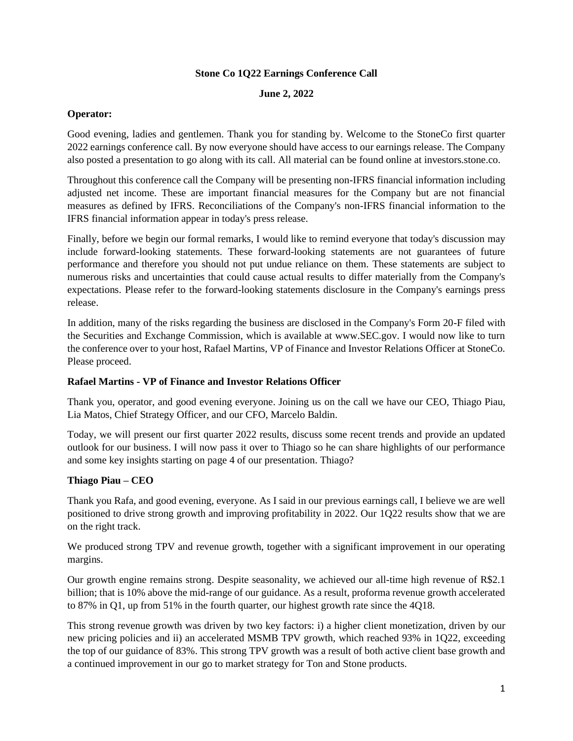### **Stone Co 1Q22 Earnings Conference Call**

#### **June 2, 2022**

### **Operator:**

Good evening, ladies and gentlemen. Thank you for standing by. Welcome to the StoneCo first quarter 2022 earnings conference call. By now everyone should have access to our earnings release. The Company also posted a presentation to go along with its call. All material can be found online at investors.stone.co.

Throughout this conference call the Company will be presenting non-IFRS financial information including adjusted net income. These are important financial measures for the Company but are not financial measures as defined by IFRS. Reconciliations of the Company's non-IFRS financial information to the IFRS financial information appear in today's press release.

Finally, before we begin our formal remarks, I would like to remind everyone that today's discussion may include forward-looking statements. These forward-looking statements are not guarantees of future performance and therefore you should not put undue reliance on them. These statements are subject to numerous risks and uncertainties that could cause actual results to differ materially from the Company's expectations. Please refer to the forward-looking statements disclosure in the Company's earnings press release.

In addition, many of the risks regarding the business are disclosed in the Company's Form 20-F filed with the Securities and Exchange Commission, which is available at www.SEC.gov. I would now like to turn the conference over to your host, Rafael Martins, VP of Finance and Investor Relations Officer at StoneCo. Please proceed.

### **Rafael Martins - VP of Finance and Investor Relations Officer**

Thank you, operator, and good evening everyone. Joining us on the call we have our CEO, Thiago Piau, Lia Matos, Chief Strategy Officer, and our CFO, Marcelo Baldin.

Today, we will present our first quarter 2022 results, discuss some recent trends and provide an updated outlook for our business. I will now pass it over to Thiago so he can share highlights of our performance and some key insights starting on page 4 of our presentation. Thiago?

# **Thiago Piau – CEO**

Thank you Rafa, and good evening, everyone. As I said in our previous earnings call, I believe we are well positioned to drive strong growth and improving profitability in 2022. Our 1Q22 results show that we are on the right track.

We produced strong TPV and revenue growth, together with a significant improvement in our operating margins.

Our growth engine remains strong. Despite seasonality, we achieved our all-time high revenue of R\$2.1 billion; that is 10% above the mid-range of our guidance. As a result, proforma revenue growth accelerated to 87% in Q1, up from 51% in the fourth quarter, our highest growth rate since the 4Q18.

This strong revenue growth was driven by two key factors: i) a higher client monetization, driven by our new pricing policies and ii) an accelerated MSMB TPV growth, which reached 93% in 1Q22, exceeding the top of our guidance of 83%. This strong TPV growth was a result of both active client base growth and a continued improvement in our go to market strategy for Ton and Stone products.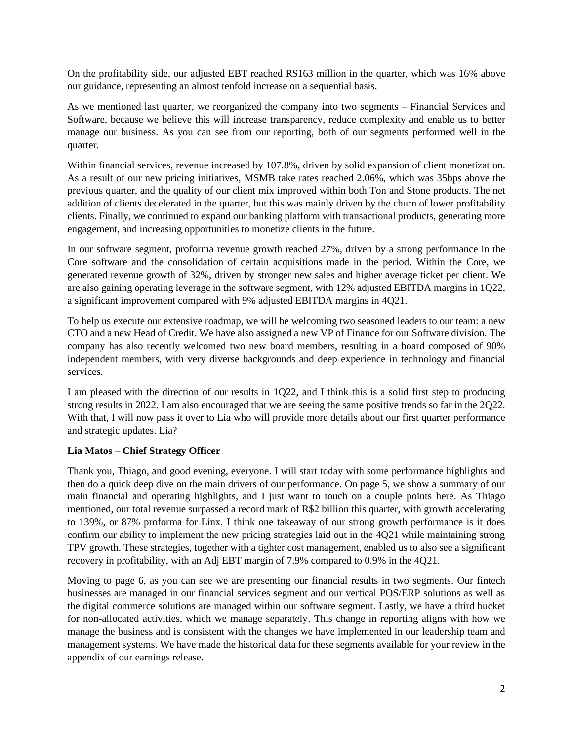On the profitability side, our adjusted EBT reached R\$163 million in the quarter, which was 16% above our guidance, representing an almost tenfold increase on a sequential basis.

As we mentioned last quarter, we reorganized the company into two segments – Financial Services and Software, because we believe this will increase transparency, reduce complexity and enable us to better manage our business. As you can see from our reporting, both of our segments performed well in the quarter.

Within financial services, revenue increased by 107.8%, driven by solid expansion of client monetization. As a result of our new pricing initiatives, MSMB take rates reached 2.06%, which was 35bps above the previous quarter, and the quality of our client mix improved within both Ton and Stone products. The net addition of clients decelerated in the quarter, but this was mainly driven by the churn of lower profitability clients. Finally, we continued to expand our banking platform with transactional products, generating more engagement, and increasing opportunities to monetize clients in the future.

In our software segment, proforma revenue growth reached 27%, driven by a strong performance in the Core software and the consolidation of certain acquisitions made in the period. Within the Core, we generated revenue growth of 32%, driven by stronger new sales and higher average ticket per client. We are also gaining operating leverage in the software segment, with 12% adjusted EBITDA margins in 1Q22, a significant improvement compared with 9% adjusted EBITDA margins in 4Q21.

To help us execute our extensive roadmap, we will be welcoming two seasoned leaders to our team: a new CTO and a new Head of Credit. We have also assigned a new VP of Finance for our Software division. The company has also recently welcomed two new board members, resulting in a board composed of 90% independent members, with very diverse backgrounds and deep experience in technology and financial services.

I am pleased with the direction of our results in 1Q22, and I think this is a solid first step to producing strong results in 2022. I am also encouraged that we are seeing the same positive trends so far in the 2Q22. With that, I will now pass it over to Lia who will provide more details about our first quarter performance and strategic updates. Lia?

# **Lia Matos – Chief Strategy Officer**

Thank you, Thiago, and good evening, everyone. I will start today with some performance highlights and then do a quick deep dive on the main drivers of our performance. On page 5, we show a summary of our main financial and operating highlights, and I just want to touch on a couple points here. As Thiago mentioned, our total revenue surpassed a record mark of R\$2 billion this quarter, with growth accelerating to 139%, or 87% proforma for Linx. I think one takeaway of our strong growth performance is it does confirm our ability to implement the new pricing strategies laid out in the 4Q21 while maintaining strong TPV growth. These strategies, together with a tighter cost management, enabled us to also see a significant recovery in profitability, with an Adj EBT margin of 7.9% compared to 0.9% in the 4Q21.

Moving to page 6, as you can see we are presenting our financial results in two segments. Our fintech businesses are managed in our financial services segment and our vertical POS/ERP solutions as well as the digital commerce solutions are managed within our software segment. Lastly, we have a third bucket for non-allocated activities, which we manage separately. This change in reporting aligns with how we manage the business and is consistent with the changes we have implemented in our leadership team and management systems. We have made the historical data for these segments available for your review in the appendix of our earnings release.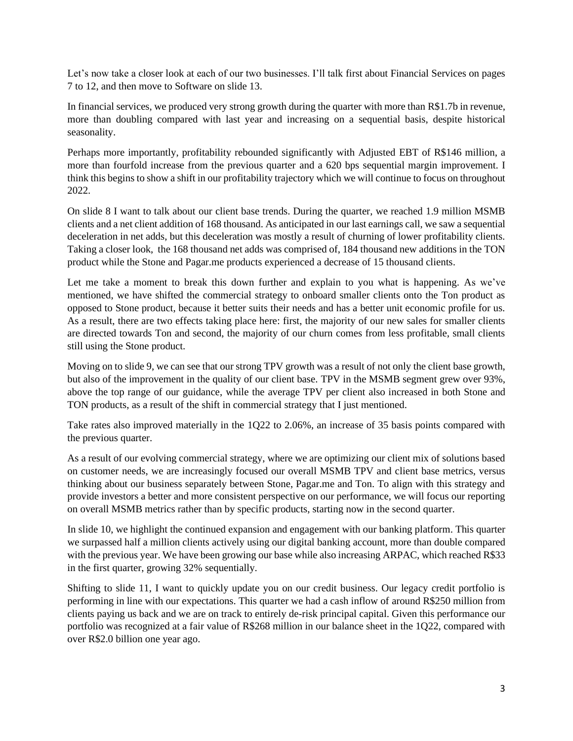Let's now take a closer look at each of our two businesses. I'll talk first about Financial Services on pages 7 to 12, and then move to Software on slide 13.

In financial services, we produced very strong growth during the quarter with more than R\$1.7b in revenue, more than doubling compared with last year and increasing on a sequential basis, despite historical seasonality.

Perhaps more importantly, profitability rebounded significantly with Adjusted EBT of R\$146 million, a more than fourfold increase from the previous quarter and a 620 bps sequential margin improvement. I think this begins to show a shift in our profitability trajectory which we will continue to focus on throughout 2022.

On slide 8 I want to talk about our client base trends. During the quarter, we reached 1.9 million MSMB clients and a net client addition of 168 thousand. As anticipated in our last earnings call, we saw a sequential deceleration in net adds, but this deceleration was mostly a result of churning of lower profitability clients. Taking a closer look, the 168 thousand net adds was comprised of, 184 thousand new additions in the TON product while the Stone and Pagar.me products experienced a decrease of 15 thousand clients.

Let me take a moment to break this down further and explain to you what is happening. As we've mentioned, we have shifted the commercial strategy to onboard smaller clients onto the Ton product as opposed to Stone product, because it better suits their needs and has a better unit economic profile for us. As a result, there are two effects taking place here: first, the majority of our new sales for smaller clients are directed towards Ton and second, the majority of our churn comes from less profitable, small clients still using the Stone product.

Moving on to slide 9, we can see that our strong TPV growth was a result of not only the client base growth, but also of the improvement in the quality of our client base. TPV in the MSMB segment grew over 93%, above the top range of our guidance, while the average TPV per client also increased in both Stone and TON products, as a result of the shift in commercial strategy that I just mentioned.

Take rates also improved materially in the 1Q22 to 2.06%, an increase of 35 basis points compared with the previous quarter.

As a result of our evolving commercial strategy, where we are optimizing our client mix of solutions based on customer needs, we are increasingly focused our overall MSMB TPV and client base metrics, versus thinking about our business separately between Stone, Pagar.me and Ton. To align with this strategy and provide investors a better and more consistent perspective on our performance, we will focus our reporting on overall MSMB metrics rather than by specific products, starting now in the second quarter.

In slide 10, we highlight the continued expansion and engagement with our banking platform. This quarter we surpassed half a million clients actively using our digital banking account, more than double compared with the previous year. We have been growing our base while also increasing ARPAC, which reached R\$33 in the first quarter, growing 32% sequentially.

Shifting to slide 11, I want to quickly update you on our credit business. Our legacy credit portfolio is performing in line with our expectations. This quarter we had a cash inflow of around R\$250 million from clients paying us back and we are on track to entirely de-risk principal capital. Given this performance our portfolio was recognized at a fair value of R\$268 million in our balance sheet in the 1Q22, compared with over R\$2.0 billion one year ago.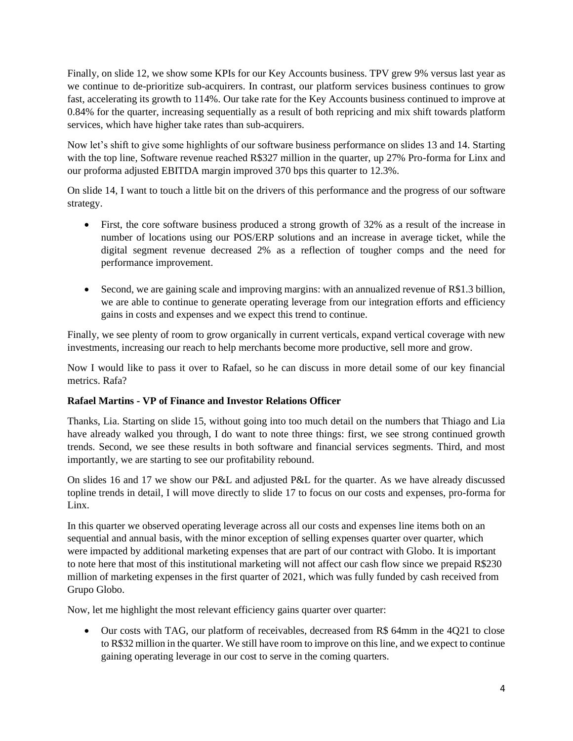Finally, on slide 12, we show some KPIs for our Key Accounts business. TPV grew 9% versus last year as we continue to de-prioritize sub-acquirers. In contrast, our platform services business continues to grow fast, accelerating its growth to 114%. Our take rate for the Key Accounts business continued to improve at 0.84% for the quarter, increasing sequentially as a result of both repricing and mix shift towards platform services, which have higher take rates than sub-acquirers.

Now let's shift to give some highlights of our software business performance on slides 13 and 14. Starting with the top line, Software revenue reached R\$327 million in the quarter, up 27% Pro-forma for Linx and our proforma adjusted EBITDA margin improved 370 bps this quarter to 12.3%.

On slide 14, I want to touch a little bit on the drivers of this performance and the progress of our software strategy.

- First, the core software business produced a strong growth of 32% as a result of the increase in number of locations using our POS/ERP solutions and an increase in average ticket, while the digital segment revenue decreased 2% as a reflection of tougher comps and the need for performance improvement.
- Second, we are gaining scale and improving margins: with an annualized revenue of R\$1.3 billion, we are able to continue to generate operating leverage from our integration efforts and efficiency gains in costs and expenses and we expect this trend to continue.

Finally, we see plenty of room to grow organically in current verticals, expand vertical coverage with new investments, increasing our reach to help merchants become more productive, sell more and grow.

Now I would like to pass it over to Rafael, so he can discuss in more detail some of our key financial metrics. Rafa?

# **Rafael Martins - VP of Finance and Investor Relations Officer**

Thanks, Lia. Starting on slide 15, without going into too much detail on the numbers that Thiago and Lia have already walked you through, I do want to note three things: first, we see strong continued growth trends. Second, we see these results in both software and financial services segments. Third, and most importantly, we are starting to see our profitability rebound.

On slides 16 and 17 we show our P&L and adjusted P&L for the quarter. As we have already discussed topline trends in detail, I will move directly to slide 17 to focus on our costs and expenses, pro-forma for Linx.

In this quarter we observed operating leverage across all our costs and expenses line items both on an sequential and annual basis, with the minor exception of selling expenses quarter over quarter, which were impacted by additional marketing expenses that are part of our contract with Globo. It is important to note here that most of this institutional marketing will not affect our cash flow since we prepaid R\$230 million of marketing expenses in the first quarter of 2021, which was fully funded by cash received from Grupo Globo.

Now, let me highlight the most relevant efficiency gains quarter over quarter:

• Our costs with TAG, our platform of receivables, decreased from R\$ 64mm in the 4Q21 to close to R\$32 million in the quarter. We still have room to improve on this line, and we expect to continue gaining operating leverage in our cost to serve in the coming quarters.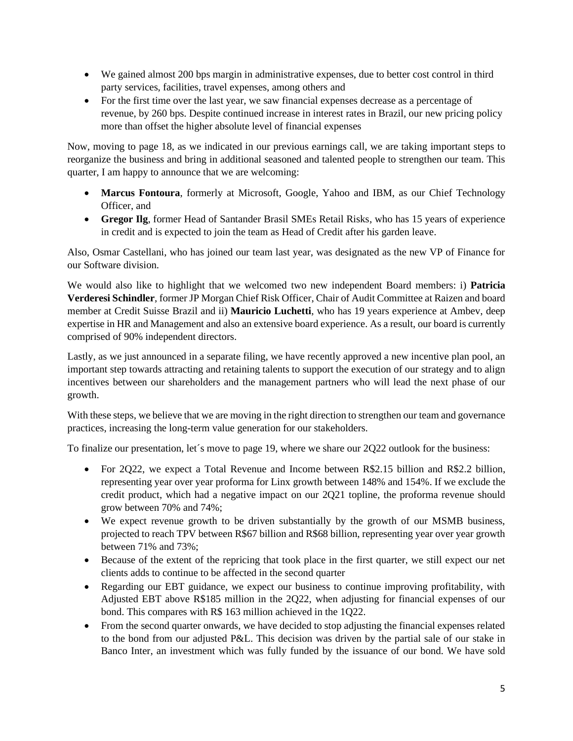- We gained almost 200 bps margin in administrative expenses, due to better cost control in third party services, facilities, travel expenses, among others and
- For the first time over the last year, we saw financial expenses decrease as a percentage of revenue, by 260 bps. Despite continued increase in interest rates in Brazil, our new pricing policy more than offset the higher absolute level of financial expenses

Now, moving to page 18, as we indicated in our previous earnings call, we are taking important steps to reorganize the business and bring in additional seasoned and talented people to strengthen our team. This quarter, I am happy to announce that we are welcoming:

- **Marcus Fontoura**, formerly at Microsoft, Google, Yahoo and IBM, as our Chief Technology Officer, and
- **Gregor Ilg**, former Head of Santander Brasil SMEs Retail Risks, who has 15 years of experience in credit and is expected to join the team as Head of Credit after his garden leave.

Also, Osmar Castellani, who has joined our team last year, was designated as the new VP of Finance for our Software division.

We would also like to highlight that we welcomed two new independent Board members: i) **Patricia Verderesi Schindler**, former JP Morgan Chief Risk Officer, Chair of Audit Committee at Raizen and board member at Credit Suisse Brazil and ii) **Mauricio Luchetti**, who has 19 years experience at Ambev, deep expertise in HR and Management and also an extensive board experience. As a result, our board is currently comprised of 90% independent directors.

Lastly, as we just announced in a separate filing, we have recently approved a new incentive plan pool, an important step towards attracting and retaining talents to support the execution of our strategy and to align incentives between our shareholders and the management partners who will lead the next phase of our growth.

With these steps, we believe that we are moving in the right direction to strengthen our team and governance practices, increasing the long-term value generation for our stakeholders.

To finalize our presentation, let´s move to page 19, where we share our 2Q22 outlook for the business:

- For 2Q22, we expect a Total Revenue and Income between R\$2.15 billion and R\$2.2 billion, representing year over year proforma for Linx growth between 148% and 154%. If we exclude the credit product, which had a negative impact on our 2Q21 topline, the proforma revenue should grow between 70% and 74%;
- We expect revenue growth to be driven substantially by the growth of our MSMB business, projected to reach TPV between R\$67 billion and R\$68 billion, representing year over year growth between 71% and 73%;
- Because of the extent of the repricing that took place in the first quarter, we still expect our net clients adds to continue to be affected in the second quarter
- Regarding our EBT guidance, we expect our business to continue improving profitability, with Adjusted EBT above R\$185 million in the 2Q22, when adjusting for financial expenses of our bond. This compares with R\$ 163 million achieved in the 1Q22.
- From the second quarter onwards, we have decided to stop adjusting the financial expenses related to the bond from our adjusted P&L. This decision was driven by the partial sale of our stake in Banco Inter, an investment which was fully funded by the issuance of our bond. We have sold